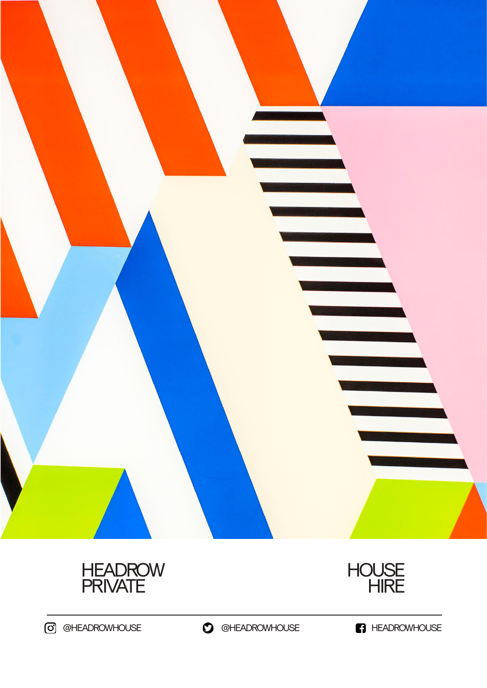





**@HEADROWHOUSE @HEADROWHOUSE @HEADROWHOUSE**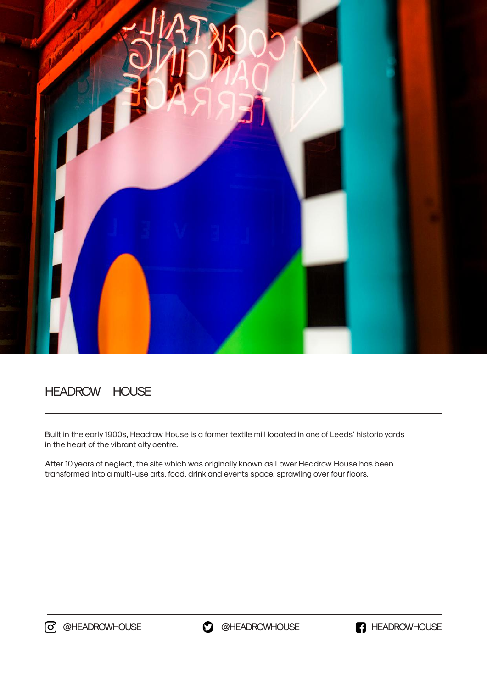

# HEADROW HOUSE

Built in the early 1900s, Headrow House is a former textile mill located in one of Leeds' historic yards in the heart of the vibrant city centre.

After 10 years of neglect, the site which was originally known as Lower Headrow House has been transformed into a multi-use arts, food, drink and events space, sprawling over four floors.

**O** @HEADROWHOUSE **@HEADROWHOUSE 1 EADROWHOUSE** 

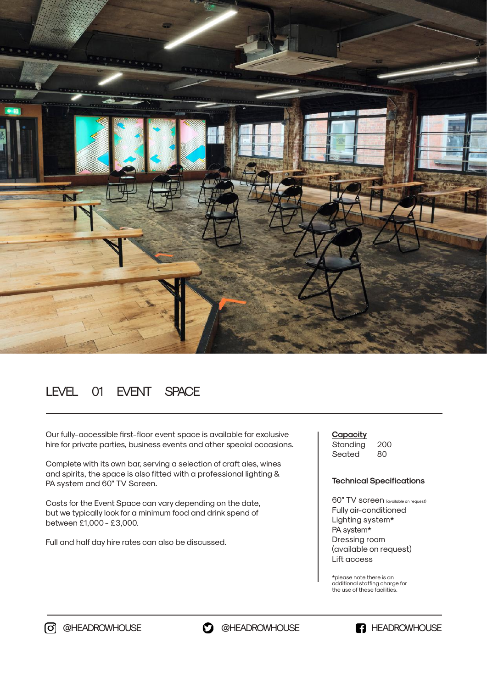

# LEVEL 01 EVENT SPACE

Our fully-accessible first-floor event space is available for exclusive hire for private parties, business events and other special occasions.

Complete with its own bar, serving a selection of craft ales, wines and spirits, the space is also fitted with a professional lighting & PA system and 60" TV Screen.

Costs for the Event Space can vary depending on the date, but we typically look for a minimum food and drink spend of between £1,000 - £3,000.

Full and half day hire rates can also be discussed.

#### **Capacity** Standing 200

Seated 80

### **Technical Specifications**

60" TV screen (available on request) Fully air-conditioned Lighting system\* PA system\* Dressing room (available on request) Lift access

\*please note there is an additional staffing charge for the use of these facilities.

**O** @HEADROWHOUSE **@HEADROWHOUSE PO** @HEADROWHOUSE

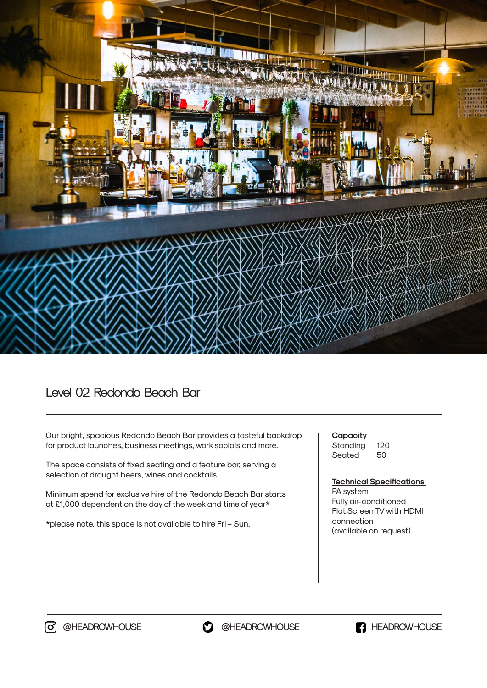

## Level 02 Redondo Beach Bar

Our bright, spacious Redondo Beach Bar provides a tasteful backdrop for product launches, business meetings, work socials and more.

The space consists of fixed seating and a feature bar, serving a selection of draught beers, wines and cocktails.

Minimum spend for exclusive hire of the Redondo Beach Bar starts at £1,000 dependent on the day of the week and time of year\*

\*please note, this space is not available to hire Fri – Sun.

### **Capacity** Standina 120 Seated 50

### **Technical Specifications**

PA system Fully air-conditioned Flat Screen TV with HDMI connection (available on request)

**O** @HEADROWHOUSE **D** @HEADROWHOUSE **P** HEADROWHOUSE

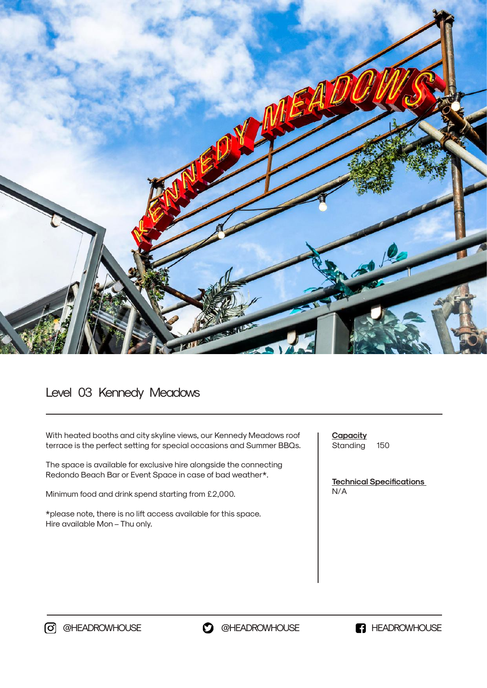

## Level 03 Kennedy Meadows

With heated booths and city skyline views, our Kennedy Meadows roof terrace is the perfect setting for special occasions and Summer BBQs.

The space is available for exclusive hire alongside the connecting Redondo Beach Bar or Event Space in case of bad weather\*.

Minimum food and drink spend starting from £2,000.

\*please note, there is no lift access available for this space. Hire available Mon – Thu only.

**Capacity** Standing 150

**Technical Specifications**  N/A

**O** @HEADROWHOUSE **@HEADROWHOUSE PO** @HEADROWHOUSE